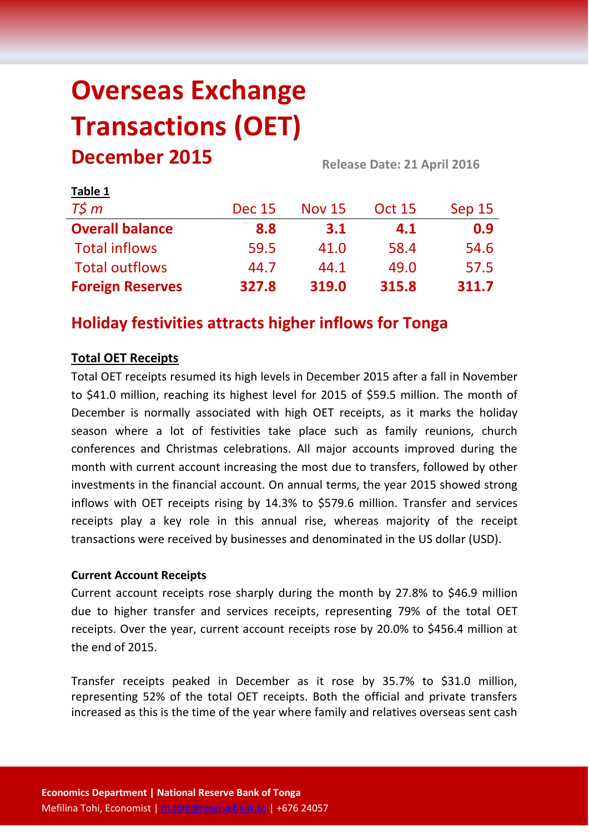# **Overseas Exchange Transactions (OET) December 2015 Release Date: 21 April <sup>2016</sup>**

| LANIC T                 |               |               |               |        |  |
|-------------------------|---------------|---------------|---------------|--------|--|
| $T\zeta m$              | <b>Dec 15</b> | <b>Nov 15</b> | <b>Oct 15</b> | Sep 15 |  |
| <b>Overall balance</b>  | 8.8           | 3.1           | 4.1           | 0.9    |  |
| <b>Total inflows</b>    | 59.5          | 41.0          | 58.4          | 54.6   |  |
| <b>Total outflows</b>   | 44.7          | 44.1          | 49.0          | 57.5   |  |
| <b>Foreign Reserves</b> | 327.8         | 319.0         | 315.8         | 311.7  |  |

# **Holiday festivities attracts higher inflows for Tonga**

# **Total OET Receipts**

**Table 1**

Total OET receipts resumed its high levels in December 2015 after a fall in November to \$41.0 million, reaching its highest level for 2015 of \$59.5 million. The month of December is normally associated with high OET receipts, as it marks the holiday season where a lot of festivities take place such as family reunions, church conferences and Christmas celebrations. All major accounts improved during the month with current account increasing the most due to transfers, followed by other investments in the financial account. On annual terms, the year 2015 showed strong inflows with OET receipts rising by 14.3% to \$579.6 million. Transfer and services receipts play a key role in this annual rise, whereas majority of the receipt transactions were received by businesses and denominated in the US dollar (USD).

#### **Current Account Receipts**

Current account receipts rose sharply during the month by 27.8% to \$46.9 million due to higher transfer and services receipts, representing 79% of the total OET receipts. Over the year, current account receipts rose by 20.0% to \$456.4 million at the end of 2015.

Transfer receipts peaked in December as it rose by 35.7% to \$31.0 million, representing 52% of the total OET receipts. Both the official and private transfers increased as this is the time of the year where family and relatives overseas sent cash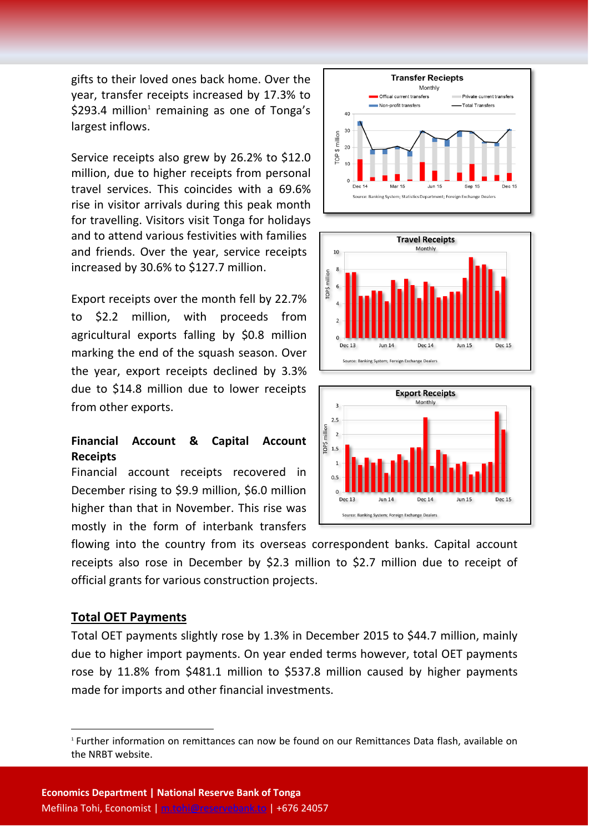gifts to their loved ones back home. Over the year, transfer receipts increased by 17.3% to  $$293.4$  million<sup>1</sup> remaining as one of Tonga's largest inflows.

Service receipts also grew by 26.2% to \$12.0 million, due to higher receipts from personal travel services. This coincides with a 69.6% rise in visitor arrivals during this peak month for travelling. Visitors visit Tonga for holidays and to attend various festivities with families and friends. Over the year, service receipts increased by 30.6% to \$127.7 million.

Export receipts over the month fell by 22.7% to \$2.2 million, with proceeds from agricultural exports falling by \$0.8 million marking the end of the squash season. Over the year, export receipts declined by 3.3% due to \$14.8 million due to lower receipts from other exports.

### **Financial Account & Capital Account Receipts**

Financial account receipts recovered in December rising to \$9.9 million, \$6.0 million higher than that in November. This rise was mostly in the form of interbank transfers

flowing into the country from its overseas correspondent banks. Capital account receipts also rose in December by \$2.3 million to \$2.7 million due to receipt of official grants for various construction projects.

#### **Total OET Payments**

**.** 

Total OET payments slightly rose by 1.3% in December 2015 to \$44.7 million, mainly due to higher import payments. On year ended terms however, total OET payments rose by 11.8% from \$481.1 million to \$537.8 million caused by higher payments made for imports and other financial investments.







<sup>1</sup> Further information on remittances can now be found on our Remittances Data flash, available on the NRBT website.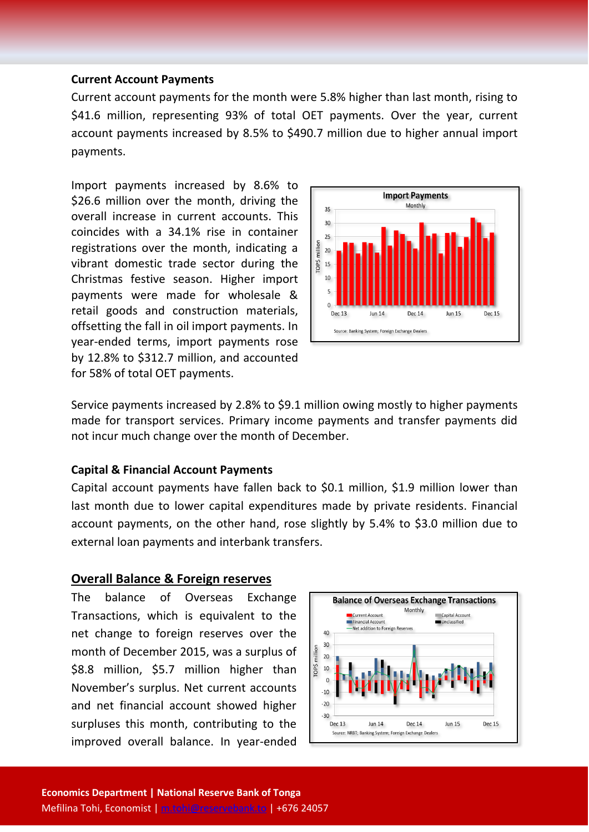#### **Current Account Payments**

Current account payments for the month were 5.8% higher than last month, rising to \$41.6 million, representing 93% of total OET payments. Over the year, current account payments increased by 8.5% to \$490.7 million due to higher annual import payments.

Import payments increased by 8.6% to \$26.6 million over the month, driving the overall increase in current accounts. This coincides with a 34.1% rise in container registrations over the month, indicating a vibrant domestic trade sector during the Christmas festive season. Higher import payments were made for wholesale & retail goods and construction materials, offsetting the fall in oil import payments. In year-ended terms, import payments rose by 12.8% to \$312.7 million, and accounted for 58% of total OET payments.



Service payments increased by 2.8% to \$9.1 million owing mostly to higher payments made for transport services. Primary income payments and transfer payments did not incur much change over the month of December.

#### **Capital & Financial Account Payments**

Capital account payments have fallen back to \$0.1 million, \$1.9 million lower than last month due to lower capital expenditures made by private residents. Financial account payments, on the other hand, rose slightly by 5.4% to \$3.0 million due to external loan payments and interbank transfers.

#### **Overall Balance & Foreign reserves**

The balance of Overseas Exchange Transactions, which is equivalent to the net change to foreign reserves over the month of December 2015, was a surplus of \$8.8 million, \$5.7 million higher than November's surplus. Net current accounts and net financial account showed higher surpluses this month, contributing to the improved overall balance. In year-ended

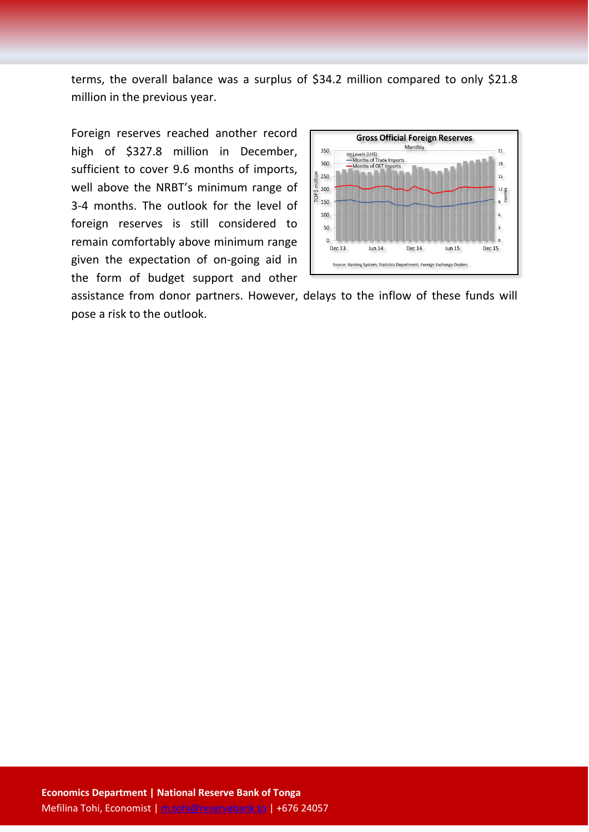terms, the overall balance was a surplus of \$34.2 million compared to only \$21.8 million in the previous year.

Foreign reserves reached another record high of \$327.8 million in December, sufficient to cover 9.6 months of imports, well above the NRBT's minimum range of 3-4 months. The outlook for the level of foreign reserves is still considered to remain comfortably above minimum range given the expectation of on-going aid in the form of budget support and other



assistance from donor partners. However, delays to the inflow of these funds will pose a risk to the outlook.